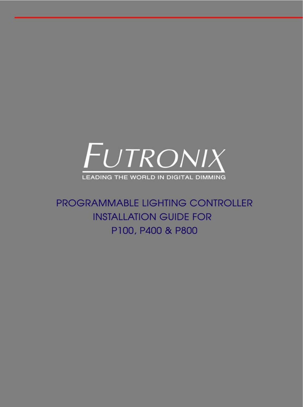

PROGRAMMABLE LIGHTING CONTROLLER **INSTALLATION GUIDE FOR** P100, P400 & P800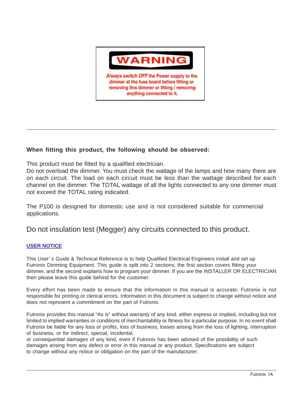

#### **When fitting this product, the following should be observed:**

This product must be fitted by a qualified electrician.

Do not overload the dimmer. You must check the wattage of the lamps and how many there are on each circuit. The load on each circuit must be less than the wattage described for each channel on the dimmer. The TOTAL wattage of all the lights connected to any one dimmer must not exceed the TOTAL rating indicated.

The P100 is designed for domestic use and is not considered suitable for commercial applications.

Do not insulation test (Megger) any circuits connected to this product.

#### **USER NOTICE**

This User' s Guide & Technical Reference is to help Qualified Electrical Engineers install and set up Futronix Dimming Equipment. This guide is split into 2 sections; the first section covers fitting your dimmer, and the second explains how to program your dimmer. If you are the INSTALLER OR ELECTRICIAN then please leave this guide behind for the customer.

Every effort has been made to ensure that the information in this manual is accurate. Futronix is not responsible for printing or clerical errors. Information in this document is subject to change without notice and does not represent a commitment on the part of Futronix.

Futronix provides this manual "As is" without warranty of any kind, either express or implied, including but not limited to implied warranties or conditions of merchantability or fitness for a particular purpose. In no event shall Futronix be liable for any loss or profits, loss of business, losses arising from the loss of lighting, interruption of business, or for indirect, special, incidental,

or consequential damages of any kind, even if Futronix has been advised of the possibility of such damages arising from any defect or error in this manual or any product. Specifications are subject to change without any notice or obligation on the part of the manufacturer.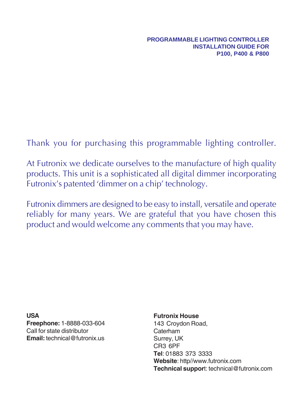Thank you for purchasing this programmable lighting controller.

At Futronix we dedicate ourselves to the manufacture of high quality products. This unit is a sophisticated all digital dimmer incorporating Futronix's patented 'dimmer on a chip' technology.

Futronix dimmers are designed to be easy to install, versatile and operate reliably for many years. We are grateful that you have chosen this product and would welcome any comments that you may have.

**USA Freephone:** 1-8888-033-604 Call for state distributor **Email:** technical@futronix.us

#### **Futronix House**

143 Croydon Road, Caterham Surrey, UK CR3 6PF **Tel**: 01883 373 3333 **Website**: http//www.futronix.com **Technical suppor**t: technical@futronix.com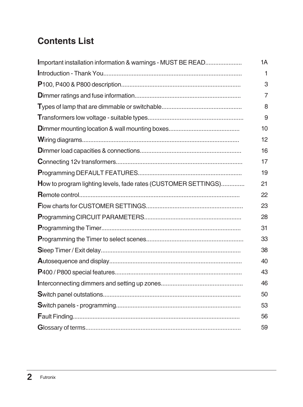# **Contents List**

| Important installation information & warnings - MUST BE READ   | 1A             |
|----------------------------------------------------------------|----------------|
|                                                                | 1              |
|                                                                | 3              |
|                                                                | $\overline{7}$ |
|                                                                | 8              |
|                                                                | 9              |
|                                                                | 10             |
|                                                                | 12             |
|                                                                | 16             |
|                                                                | 17             |
|                                                                | 19             |
| How to program lighting levels, fade rates (CUSTOMER SETTINGS) | 21             |
|                                                                | 22             |
|                                                                | 23             |
|                                                                | 28             |
|                                                                | 31             |
|                                                                | 33             |
|                                                                | 38             |
|                                                                | 40             |
|                                                                | 43             |
|                                                                | 46             |
|                                                                | 50             |
|                                                                | 53             |
|                                                                | 56             |
|                                                                | 59             |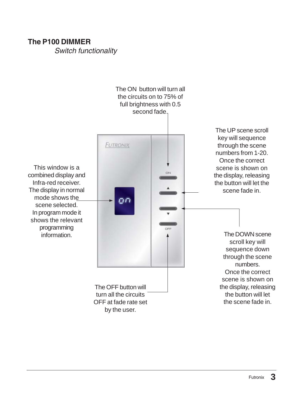#### **The P100 DIMMER**

*Switch functionality*

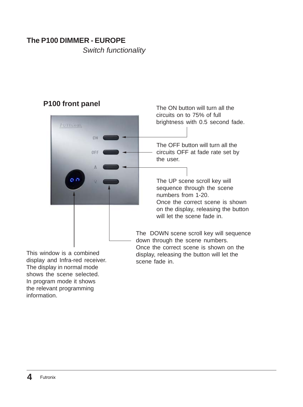### **The P100 DIMMER - EUROPE**

*Switch functionality*

### **P100 front panel**

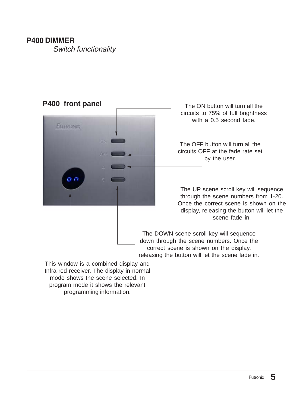#### **P400 DIMMER**

*Switch functionality*



mode shows the scene selected. In program mode it shows the relevant programming information.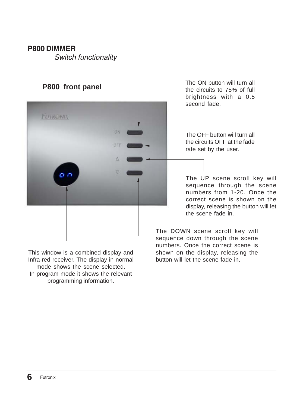#### **P800 DIMMER**

*Switch functionality*



This window is a combined display and Infra-red receiver. The display in normal mode shows the scene selected. In program mode it shows the relevant programming information.

the circuits to 75% of full brightness with a 0.5 second fade.

The OFF button will turn all the circuits OFF at the fade rate set by the user.

The UP scene scroll key will sequence through the scene numbers from 1-20. Once the correct scene is shown on the display, releasing the button will let the scene fade in.

The DOWN scene scroll key will sequence down through the scene numbers. Once the correct scene is shown on the display, releasing the button will let the scene fade in.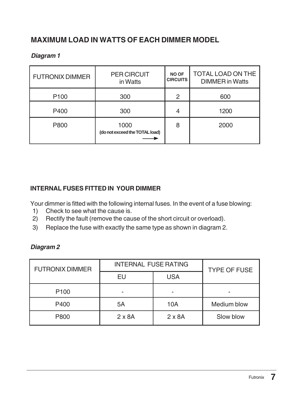### **MAXIMUM LOAD IN WATTS OF EACH DIMMER MODEL**

#### *Diagram 1*

| <b>FUTRONIX DIMMER</b> | <b>PER CIRCUIT</b><br>in Watts         | NO OF<br><b>CIRCUITS</b> | <b>TOTAL LOAD ON THE</b><br><b>DIMMER</b> in Watts |
|------------------------|----------------------------------------|--------------------------|----------------------------------------------------|
| P <sub>100</sub>       | 300                                    | 2                        | 600                                                |
| P400                   | 300                                    | 4                        | 1200                                               |
| P800                   | 1000<br>(do not exceed the TOTAL load) | 8                        | 2000                                               |

#### **INTERNAL FUSES FITTED IN YOUR DIMMER**

Your dimmer is fitted with the following internal fuses. In the event of a fuse blowing:

- 1) Check to see what the cause is.
- 2) Rectify the fault (remove the cause of the short circuit or overload).
- 3) Replace the fuse with exactly the same type as shown in diagram 2.

#### *Diagram 2*

| <b>FUTRONIX DIMMER</b> | <b>INTERNAL FUSE RATING</b> |               | <b>TYPE OF FUSE</b> |
|------------------------|-----------------------------|---------------|---------------------|
|                        | EU                          | <b>USA</b>    |                     |
| P <sub>100</sub>       |                             |               |                     |
| P400                   | 5A                          | 10A           | Medium blow         |
| P800                   | $2 \times 8A$               | $2 \times 8A$ | Slow blow           |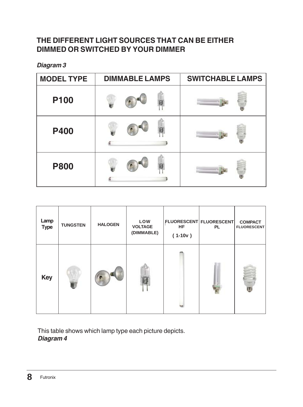### **THE DIFFERENT LIGHT SOURCES THAT CAN BE EITHER DIMMED OR SWITCHED BY YOUR DIMMER**

*Diagram 3*

| <b>MODEL TYPE</b> | <b>DIMMABLE LAMPS</b> | <b>SWITCHABLE LAMPS</b> |
|-------------------|-----------------------|-------------------------|
| P100              |                       |                         |
| <b>P400</b>       |                       |                         |
| <b>P800</b>       |                       |                         |

| Lamp<br><b>Type</b> | <b>TUNGSTEN</b> | <b>HALOGEN</b> | LOW<br><b>VOLTAGE</b><br>(DIMMABLE) | HF<br>$(1-10v)$ | FLUORESCENT FLUORESCENT<br><b>PL</b> | <b>COMPACT</b><br><b>FLUORESCENT</b> |
|---------------------|-----------------|----------------|-------------------------------------|-----------------|--------------------------------------|--------------------------------------|
| <b>Key</b>          |                 |                |                                     |                 |                                      |                                      |

This table shows which lamp type each picture depicts. *Diagram 4*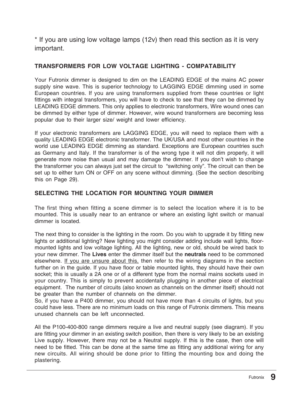\* If you are using low voltage lamps (12v) then read this section as it is very important.

#### **TRANSFORMERS FOR LOW VOLTAGE LIGHTING - COMPATABILITY**

Your Futronix dimmer is designed to dim on the LEADING EDGE of the mains AC power supply sine wave. This is superior technology to LAGGING EDGE dimming used in some European countries. If you are using transformers supplied from these countries or light fittings with integral transformers, you will have to check to see that they can be dimmed by LEADING EDGE dimmers. This only applies to electronic transformers, Wire wound ones can be dimmed by either type of dimmer. However, wire wound transformers are becoming less popular due to their larger size/ weight and lower efficiency.

If your electronic transformers are LAGGING EDGE, you will need to replace them with a quality LEADING EDGE electronic transformer. The UK/USA and most other countries in the world use LEADING EDGE dimming as standard. Exceptions are European countries such as Germany and Italy. If the transformer is of the wrong type it will not dim properly, it will generate more noise than usual and may damage the dimmer. If you don't wish to change the transformer you can always just set the circuit to "switching only". The circuit can then be set up to either turn ON or OFF on any scene without dimming. (See the section describing this on Page 29).

#### **SELECTING THE LOCATION FOR MOUNTING YOUR DIMMER**

The first thing when fitting a scene dimmer is to select the location where it is to be mounted. This is usually near to an entrance or where an existing light switch or manual dimmer is located.

The next thing to consider is the lighting in the room. Do you wish to upgrade it by fitting new lights or additional lighting? New lighting you might consider adding include wall lights, floormounted lights and low voltage lighting. All the lighting, new or old, should be wired back to your new dimmer. The **Lives** enter the dimmer itself but the **neutrals** need to be commoned elsewhere. If you are unsure about this, then refer to the wiring diagrams in the section further on in the guide. If you have floor or table mounted lights, they should have their own socket; this is usually a 2A one or of a different type from the normal mains sockets used in your country. This is simply to prevent accidentally plugging in another piece of electrical equipment. The number of circuits (also known as channels on the dimmer itself) should not be greater than the number of channels on the dimmer.

So, if you have a P400 dimmer, you should not have more than 4 circuits of lights, but you could have less. There are no minimum loads on this range of Futronix dimmers. This means unused channels can be left unconnected.

All the P100-400-800 range dimmers require a live and neutral supply (see diagram). If you are fitting your dimmer in an existing switch position, then there is very likely to be an existing Live supply. However, there may not be a Neutral supply. If this is the case, then one will need to be fitted. This can be done at the same time as fitting any additional wiring for any new circuits. All wiring should be done prior to fitting the mounting box and doing the plastering.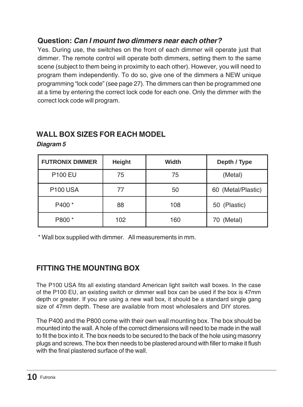### **Question:** *Can I mount two dimmers near each other?*

Yes. During use, the switches on the front of each dimmer will operate just that dimmer. The remote control will operate both dimmers, setting them to the same scene (subject to them being in proximity to each other). However, you will need to program them independently. To do so, give one of the dimmers a NEW unique programming "lock code" (see page 27). The dimmers can then be programmed one at a time by entering the correct lock code for each one. Only the dimmer with the correct lock code will program.

### **WALL BOX SIZES FOR EACH MODEL**

| <b>FUTRONIX DIMMER</b> | Height | Width | Depth / Type       |
|------------------------|--------|-------|--------------------|
| <b>P100 EU</b>         | 75     | 75    | (Metal)            |
| <b>P100 USA</b>        | 77     | 50    | 60 (Metal/Plastic) |
| P400 <sup>*</sup>      | 88     | 108   | 50 (Plastic)       |
| P800 *                 | 102    | 160   | 70 (Metal)         |

*Diagram 5*

\* Wall box supplied with dimmer. All measurements in mm.

### **FITTING THE MOUNTING BOX**

The P100 USA fits all existing standard American light switch wall boxes. In the case of the P100 EU, an existing switch or dimmer wall box can be used if the box is 47mm depth or greater. If you are using a new wall box, it should be a standard single gang size of 47mm depth. These are available from most wholesalers and DIY stores.

The P400 and the P800 come with their own wall mounting box. The box should be mounted into the wall. A hole of the correct dimensions will need to be made in the wall to fit the box into it. The box needs to be secured to the back of the hole using masonry plugs and screws. The box then needs to be plastered around with filler to make it flush with the final plastered surface of the wall.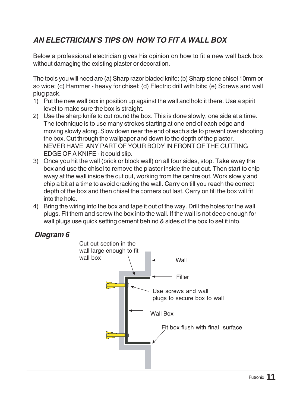## *AN ELECTRICIAN'S TIPS ON HOW TO FIT A WALL BOX*

Below a professional electrician gives his opinion on how to fit a new wall back box without damaging the existing plaster or decoration.

The tools you will need are (a) Sharp razor bladed knife; (b) Sharp stone chisel 10mm or so wide; (c) Hammer - heavy for chisel; (d) Electric drill with bits; (e) Screws and wall plug pack.

- 1) Put the new wall box in position up against the wall and hold it there. Use a spirit level to make sure the box is straight.
- 2) Use the sharp knife to cut round the box. This is done slowly, one side at a time. The technique is to use many strokes starting at one end of each edge and moving slowly along. Slow down near the end of each side to prevent over shooting the box. Cut through the wallpaper and down to the depth of the plaster. NEVER HAVE ANY PART OF YOUR BODY IN FRONT OF THE CUTTING EDGE OF A KNIFE - it could slip.
- 3) Once you hit the wall (brick or block wall) on all four sides, stop. Take away the box and use the chisel to remove the plaster inside the cut out. Then start to chip away at the wall inside the cut out, working from the centre out. Work slowly and chip a bit at a time to avoid cracking the wall. Carry on till you reach the correct depth of the box and then chisel the corners out last. Carry on till the box will fit into the hole.
- 4) Bring the wiring into the box and tape it out of the way. Drill the holes for the wall plugs. Fit them and screw the box into the wall. If the wall is not deep enough for wall plugs use quick setting cement behind & sides of the box to set it into.

#### *Diagram 6*

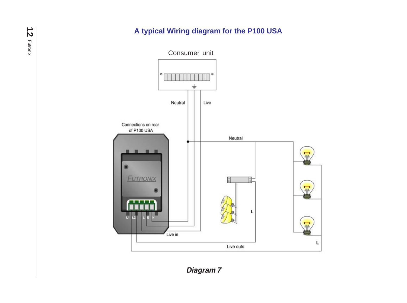## **A typical Wiring diagram for the P100 USA**



*Diagram 7*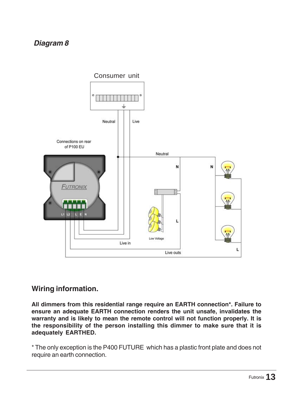### *Diagram 8*



#### **Wiring information.**

**All dimmers from this residential range require an EARTH connection\*. Failure to ensure an adequate EARTH connection renders the unit unsafe, invalidates the warranty and is likely to mean the remote control will not function properly. It is the responsibility of the person installing this dimmer to make sure that it is adequately EARTHED.**

\* The only exception is the P400 FUTURE which has a plastic front plate and does not require an earth connection.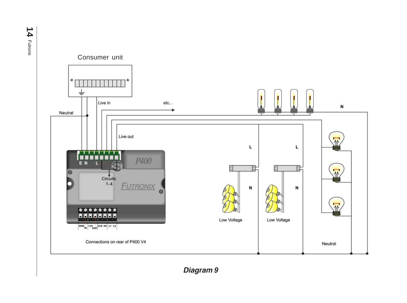

**14**

*Diagram 9*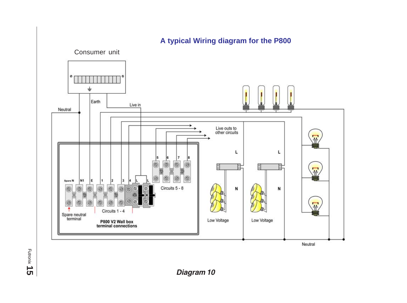

### **A typical Wiring diagram for the P800**

Futronix **15**

*Diagram 10*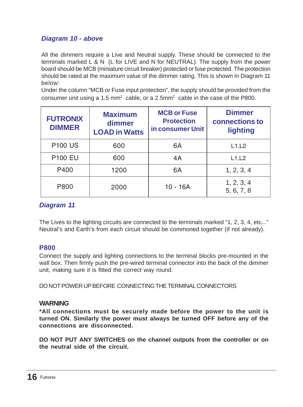#### *Diagram 10 - above*

All the dimmers require a Live and Neutral supply. These should be connected to the terminals marked L & N (L for LIVE and N for NEUTRAL). The supply from the power board should be MCB (miniature circuit breaker) protected or fuse protected. The protection should be rated at the maximum value of the dimmer rating. This is shown in Diagram 11 below:

Under the column "MCB or Fuse input protection", the supply should be provided from the consumer unit using a 1.5 mm<sup>2</sup> cable, or a 2.5mm<sup>2</sup> cable in the case of the P800.

| <b>FUTRONIX</b><br><b>DIMMER</b> | <b>Maximum</b><br>dimmer<br><b>LOAD in Watts</b> | <b>MCB or Fuse</b><br><b>Protection</b><br>in consumer Unit | <b>Dimmer</b><br>connections to<br>lighting |
|----------------------------------|--------------------------------------------------|-------------------------------------------------------------|---------------------------------------------|
| <b>P100 US</b>                   | 600                                              | 6A                                                          | L1, L2                                      |
| <b>P100 EU</b>                   | 600                                              | 4A                                                          | L1, L2                                      |
| P400                             | 1200                                             | 6A                                                          | 1, 2, 3, 4                                  |
| P800                             | 2000                                             | 10 - 16A                                                    | 1, 2, 3, 4<br>5, 6, 7, 8                    |

#### *Diagram 11*

The Lives to the lighting circuits are connected to the terminals marked "1, 2, 3, 4, etc..." Neutral's and Earth's from each circuit should be commoned together (if not already).

#### **P800**

Connect the supply and lighting connections to the terminal blocks pre-mounted in the wall box. Then firmly push the pre-wired terminal connector into the back of the dimmer unit, making sure it is fitted the correct way round.

DO NOT POWER UP BEFORE CONNECTING THE TERMINAL CONNECTORS

#### **WARNING**

**\*All connections must be securely made before the power to the unit is turned ON. Similarly the power must always be turned OFF before any of the connections are disconnected.**

**DO NOT PUT ANY SWITCHES on the channel outputs from the controller or on the neutral side of the circuit.**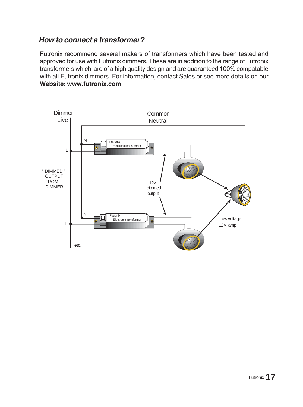#### *How to connect a transformer?*

Futronix recommend several makers of transformers which have been tested and approved for use with Futronix dimmers. These are in addition to the range of Futronix transformers which are of a high quality design and are guaranteed 100% compatable with all Futronix dimmers. For information, contact Sales or see more details on our **Website: www.futronix.com**

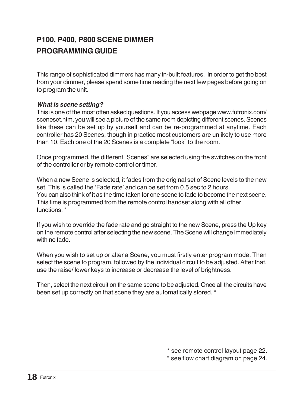## **P100, P400, P800 SCENE DIMMER PROGRAMMING GUIDE**

This range of sophisticated dimmers has many in-built features. In order to get the best from your dimmer, please spend some time reading the next few pages before going on to program the unit.

#### *What is scene setting?*

This is one of the most often asked questions. If you access webpage www.futronix.com/ sceneset.htm, you will see a picture of the same room depicting different scenes. Scenes like these can be set up by yourself and can be re-programmed at anytime. Each controller has 20 Scenes, though in practice most customers are unlikely to use more than 10. Each one of the 20 Scenes is a complete "look" to the room.

Once programmed, the different "Scenes" are selected using the switches on the front of the controller or by remote control or timer.

When a new Scene is selected, it fades from the original set of Scene levels to the new set. This is called the 'Fade rate' and can be set from 0.5 sec to 2 hours. You can also think of it as the time taken for one scene to fade to become the next scene. This time is programmed from the remote control handset along with all other functions. \*

If you wish to override the fade rate and go straight to the new Scene, press the Up key on the remote control after selecting the new scene. The Scene will change immediately with no fade.

When you wish to set up or alter a Scene, you must firstly enter program mode. Then select the scene to program, followed by the individual circuit to be adjusted. After that, use the raise/ lower keys to increase or decrease the level of brightness.

Then, select the next circuit on the same scene to be adjusted. Once all the circuits have been set up correctly on that scene they are automatically stored. \*

\* see remote control layout page 22.

\* see flow chart diagram on page 24.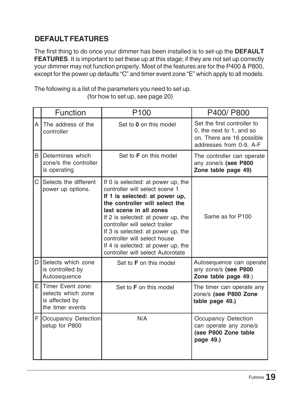### **DEFAULT FEATURES**

The first thing to do once your dimmer has been installed is to set-up the **DEFAULT FEATURES**. It is important to set these up at this stage; if they are not set up correctly your dimmer may not function properly. Most of the features are for the P400 & P800, except for the power up defaults "C" and timer event zone "E" which apply to all models.

The following is a list of the parameters you need to set up. (for how to set up, see page 20)

|              | Function                                                                        | P <sub>100</sub>                                                                                                                                                                                                                                                                                                                                                                             | P400/P800                                                                                                       |
|--------------|---------------------------------------------------------------------------------|----------------------------------------------------------------------------------------------------------------------------------------------------------------------------------------------------------------------------------------------------------------------------------------------------------------------------------------------------------------------------------------------|-----------------------------------------------------------------------------------------------------------------|
| A            | The address of the<br>controller                                                | Set to 0 on this model                                                                                                                                                                                                                                                                                                                                                                       | Set the first controller to<br>0, the next to 1, and so<br>on. There are 16 possible<br>addresses from 0-9, A-F |
| <sub>B</sub> | Determines which<br>zone/s the controller<br>is operating                       | Set to <b>F</b> on this model                                                                                                                                                                                                                                                                                                                                                                | The controller can operate<br>any zone/s (see P800<br>Zone table page 49)                                       |
| C            | Selects the different<br>power up options.                                      | If 0 is selected: at power up, the<br>controller will select scene 1<br>If 1 is selected: at power up,<br>the controller will select the<br>last scene in all zones<br>If 2 is selected: at power up, the<br>controller will select trailer<br>If 3 is selected: at power up, the<br>controller will select house<br>If 4 is selected: at power up, the<br>controller will select Autorotate | Same as for P100                                                                                                |
| D            | Selects which zone<br>is controlled by<br>Autosequence                          | Set to <b>F</b> on this model                                                                                                                                                                                                                                                                                                                                                                | Autosequence can operate<br>any zone/s (see P800<br>Zone table page 49.)                                        |
|              | E Timer Event zone:<br>selects which zone<br>is affected by<br>the timer events | Set to <b>F</b> on this model                                                                                                                                                                                                                                                                                                                                                                | The timer can operate any<br>zone/s (see P800 Zone<br>table page 49.)                                           |
|              | F Occupancy Detection<br>setup for P800                                         | N/A                                                                                                                                                                                                                                                                                                                                                                                          | Occupancy Detection<br>can operate any zone/s<br>(see P800 Zone table<br>page 49.)                              |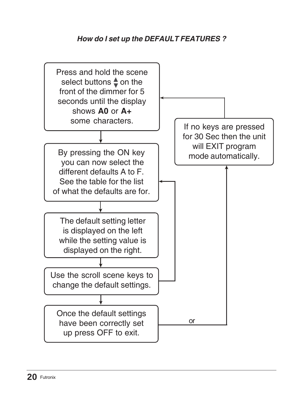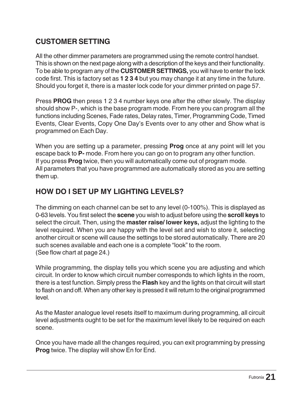### **CUSTOMER SETTING**

All the other dimmer parameters are programmed using the remote control handset. This is shown on the next page along with a description of the keys and their functionality. To be able to program any of the **CUSTOMER SETTINGS,** you will have to enter the lock code first. This is factory set as **1 2 3 4** but you may change it at any time in the future. Should you forget it, there is a master lock code for your dimmer printed on page 57.

Press **PROG** then press 1 2 3 4 number keys one after the other slowly. The display should show P-, which is the base program mode. From here you can program all the functions including Scenes, Fade rates, Delay rates, Timer, Programming Code, Timed Events, Clear Events, Copy One Day's Events over to any other and Show what is programmed on Each Day.

When you are setting up a parameter, pressing **Prog** once at any point will let you escape back to **P-** mode. From here you can go on to program any other function. If you press **Prog** twice, then you will automatically come out of program mode. All parameters that you have programmed are automatically stored as you are setting them up.

### **HOW DO I SET UP MY LIGHTING LEVELS?**

The dimming on each channel can be set to any level (0-100%). This is displayed as 0-63 levels. You first select the **scene** you wish to adjust before using the **scroll keys** to select the circuit. Then, using the **master raise/ lower keys,** adjust the lighting to the level required. When you are happy with the level set and wish to store it, selecting another circuit or scene will cause the settings to be stored automatically. There are 20 such scenes available and each one is a complete "look" to the room. (See flow chart at page 24.)

While programming, the display tells you which scene you are adjusting and which circuit. In order to know which circuit number corresponds to which lights in the room, there is a test function. Simply press the **Flash** key and the lights on that circuit will start to flash on and off. When any other key is pressed it will return to the original programmed level.

As the Master analogue level resets itself to maximum during programming, all circuit level adjustments ought to be set for the maximum level likely to be required on each scene.

Once you have made all the changes required, you can exit programming by pressing **Prog** twice. The display will show En for End.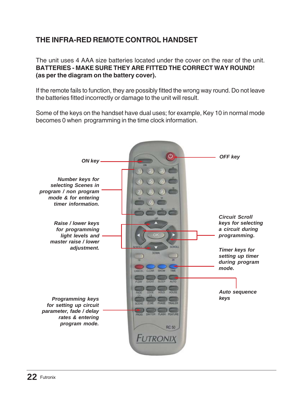## **THE INFRA-RED REMOTE CONTROL HANDSET**

The unit uses 4 AAA size batteries located under the cover on the rear of the unit. **BATTERIES - MAKE SURE THEY ARE FITTED THE CORRECT WAY ROUND! (as per the diagram on the battery cover).**

If the remote fails to function, they are possibly fitted the wrong way round. Do not leave the batteries fitted incorrectly or damage to the unit will result.

Some of the keys on the handset have dual uses; for example, Key 10 in normal mode becomes 0 when programming in the time clock information.

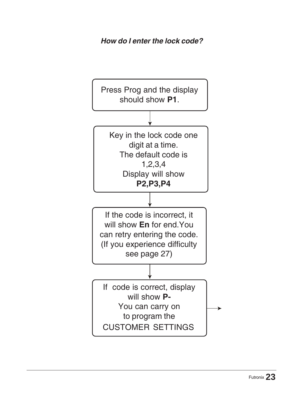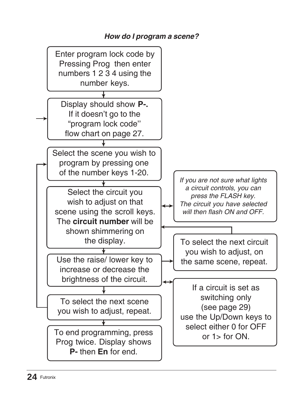### *How do I program a scene?*

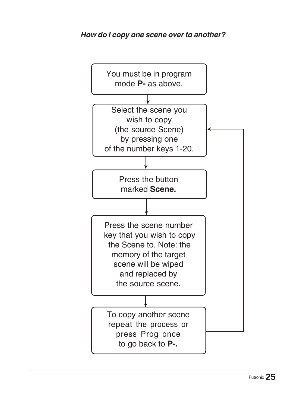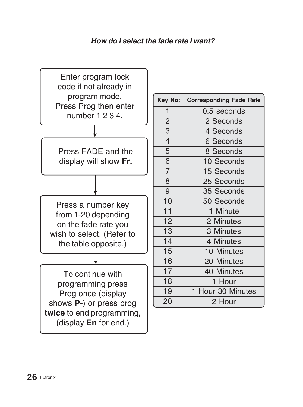### *How do I select the fade rate I want?*



| Key No:        | <b>Corresponding Fade Rate</b> |
|----------------|--------------------------------|
| 1              | 0.5 seconds                    |
| $\overline{c}$ | 2 Seconds                      |
| 3              | 4 Seconds                      |
| $\overline{4}$ | 6 Seconds                      |
| 5              | 8 Seconds                      |
| 6              | 10 Seconds                     |
| $\overline{7}$ | 15 Seconds                     |
| 8              | 25 Seconds                     |
| 9              | 35 Seconds                     |
| 10             | 50 Seconds                     |
| 11             | 1 Minute                       |
| 12             | 2 Minutes                      |
| 13             | 3 Minutes                      |
| 14             | 4 Minutes                      |
| 15             | 10 Minutes                     |
| 16             | 20 Minutes                     |
| 17             | 40 Minutes                     |
| 18             | 1 Hour                         |
| 19             | Hour 30 Minutes<br>1           |
| 20             | 2 Hour                         |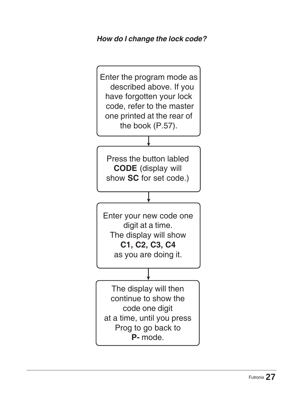### *How do I change the lock code?*

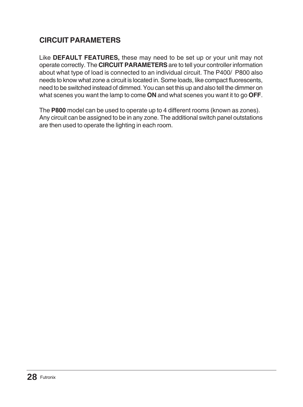## **CIRCUIT PARAMETERS**

Like **DEFAULT FEATURES,** these may need to be set up or your unit may not operate correctly. The **CIRCUIT PARAMETERS** are to tell your controller information about what type of load is connected to an individual circuit. The P400/ P800 also needs to know what zone a circuit is located in. Some loads, like compact fluorescents, need to be switched instead of dimmed. You can set this up and also tell the dimmer on what scenes you want the lamp to come **ON** and what scenes you want it to go **OFF**.

The **P800** model can be used to operate up to 4 different rooms (known as zones). Any circuit can be assigned to be in any zone. The additional switch panel outstations are then used to operate the lighting in each room.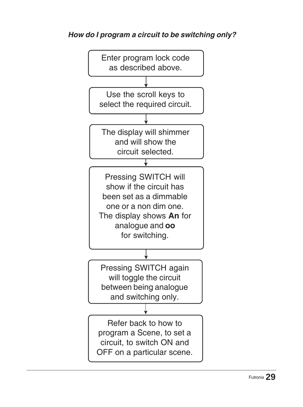## *How do I program a circuit to be switching only?*

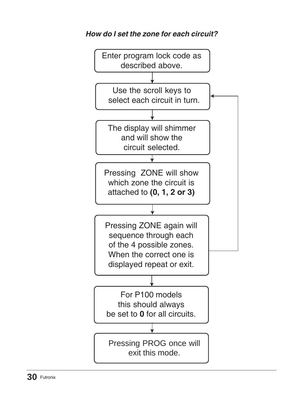

### *How do I set the zone for each circuit?*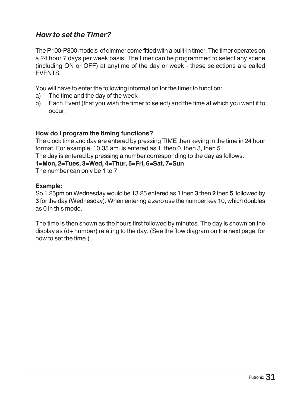#### *How to set the Timer?*

The P100-P800 models of dimmer come fitted with a built-in timer. The timer operates on a 24 hour 7 days per week basis. The timer can be programmed to select any scene (including ON or OFF) at anytime of the day or week - these selections are called EVENTS.

You will have to enter the following information for the timer to function:

- a) The time and the day of the week
- b) Each Event (that you wish the timer to select) and the time at which you want it to occur.

#### **How do I program the timing functions?**

The clock time and day are entered by pressing TIME then keying in the time in 24 hour format. For example, 10.35 am. is entered as 1, then 0, then 3, then 5. The day is entered by pressing a number corresponding to the day as follows: **1=Mon, 2=Tues, 3=Wed, 4=Thur, 5=Fri, 6=Sat, 7=Sun**

The number can only be 1 to 7.

#### **Example:**

So 1.25pm on Wednesday would be 13.25 entered as **1** then **3** then **2** then **5** followed by **3** for the day (Wednesday). When entering a zero use the number key 10, which doubles as 0 in this mode.

The time is then shown as the hours first followed by minutes. The day is shown on the display as (d+ number) relating to the day. (See the flow diagram on the next page for how to set the time.)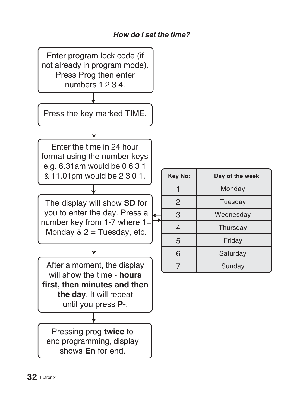### *How do I set the time?*

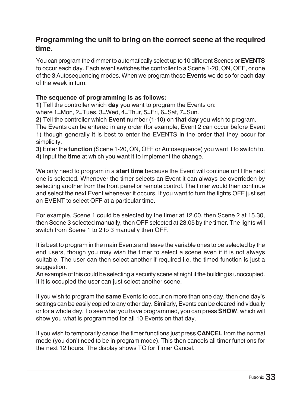#### **Programming the unit to bring on the correct scene at the required time.**

You can program the dimmer to automatically select up to 10 different Scenes or **EVENTS** to occur each day. Each event switches the controller to a Scene 1-20, ON, OFF, or one of the 3 Autosequencing modes. When we program these **Events** we do so for each **day** of the week in turn.

#### **The sequence of programming is as follows:**

**1)** Tell the controller which **day** you want to program the Events on:

where 1=Mon, 2=Tues, 3=Wed, 4=Thur, 5=Fri, 6=Sat, 7=Sun.

**2)** Tell the controller which **Event** number (1-10) on **that day** you wish to program.

The Events can be entered in any order (for example, Event 2 can occur before Event 1) though generally it is best to enter the EVENTS in the order that they occur for simplicity.

**3)** Enter the **function** (Scene 1-20, ON, OFF or Autosequence) you want it to switch to. **4)** Input the **time** at which you want it to implement the change.

We only need to program in a **start time** because the Event will continue until the next one is selected. Whenever the timer selects an Event it can always be overridden by selecting another from the front panel or remote control. The timer would then continue and select the next Event whenever it occurs. If you want to turn the lights OFF just set an EVENT to select OFF at a particular time.

For example, Scene 1 could be selected by the timer at 12.00, then Scene 2 at 15.30, then Scene 3 selected manually, then OFF selected at 23.05 by the timer. The lights will switch from Scene 1 to 2 to 3 manually then OFF.

It is best to program in the main Events and leave the variable ones to be selected by the end users, though you may wish the timer to select a scene even if it is not always suitable. The user can then select another if required i.e. the timed function is just a suggestion.

An example of this could be selecting a security scene at night if the building is unoccupied. If it is occupied the user can just select another scene.

If you wish to program the **same** Events to occur on more than one day, then one day's settings can be easily copied to any other day. Similarly, Events can be cleared individually or for a whole day. To see what you have programmed, you can press **SHOW**, which will show you what is programmed for all 10 Events on that day.

If you wish to temporarily cancel the timer functions just press **CANCEL** from the normal mode (you don't need to be in program mode). This then cancels all timer functions for the next 12 hours. The display shows TC for Timer Cancel.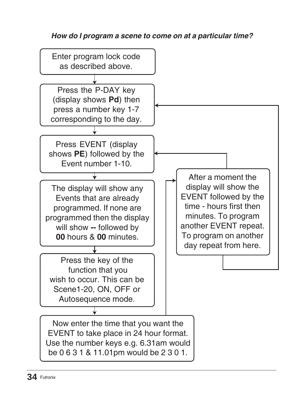### *How do I program a scene to come on at a particular time?*

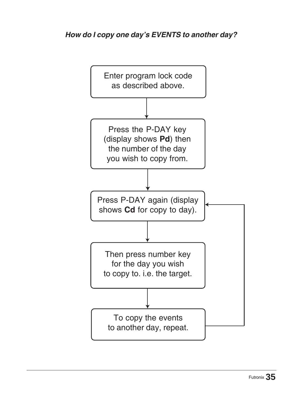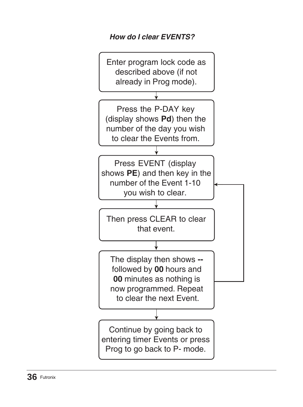## *How do I clear EVENTS?*

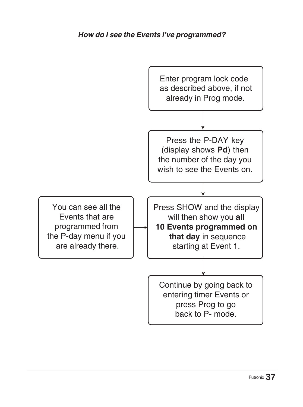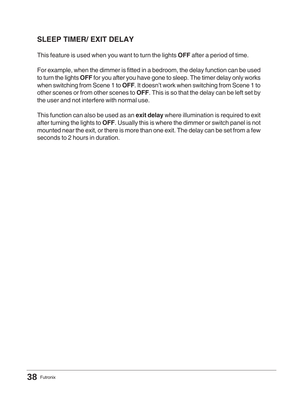## **SLEEP TIMER/ EXIT DELAY**

This feature is used when you want to turn the lights **OFF** after a period of time.

For example, when the dimmer is fitted in a bedroom, the delay function can be used to turn the lights **OFF** for you after you have gone to sleep. The timer delay only works when switching from Scene 1 to **OFF**. It doesn't work when switching from Scene 1 to other scenes or from other scenes to **OFF**. This is so that the delay can be left set by the user and not interfere with normal use.

This function can also be used as an **exit delay** where illumination is required to exit after turning the lights to **OFF**. Usually this is where the dimmer or switch panel is not mounted near the exit, or there is more than one exit. The delay can be set from a few seconds to 2 hours in duration.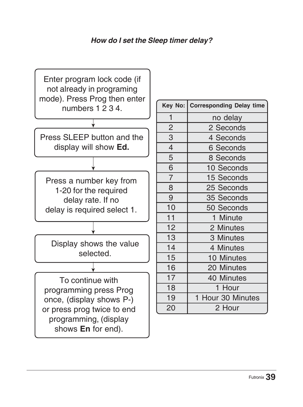### *How do I set the Sleep timer delay?*



| Key No:        | <b>Corresponding Delay time</b> |
|----------------|---------------------------------|
| 1              | no delay                        |
| $\overline{2}$ | 2 Seconds                       |
| 3              | 4 Seconds                       |
| $\overline{4}$ | 6 Seconds                       |
| 5              | 8 Seconds                       |
| $\overline{6}$ | 10 Seconds                      |
| $\overline{7}$ | 15 Seconds                      |
| 8              | 25 Seconds                      |
| 9              | 35 Seconds                      |
| 10             | 50 Seconds                      |
| 11             | 1 Minute                        |
| 12             | 2 Minutes                       |
| 13             | 3 Minutes                       |
| 14             | 4 Minutes                       |
| 15             | 10 Minutes                      |
| 16             | 20 Minutes                      |
| 17             | 40 Minutes                      |
| 18             | 1 Hour                          |
| 19             | 1 Hour 30 Minutes               |
| 20             | 2 Hour                          |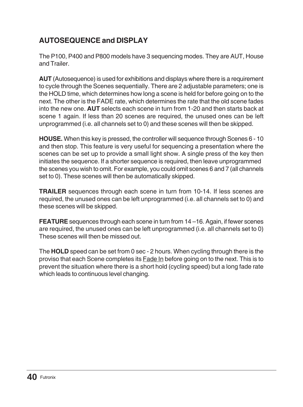## **AUTOSEQUENCE and DISPLAY**

The P100, P400 and P800 models have 3 sequencing modes. They are AUT, House and Trailer.

**AUT** (Autosequence) is used for exhibitions and displays where there is a requirement to cycle through the Scenes sequentially. There are 2 adjustable parameters; one is the HOLD time, which determines how long a scene is held for before going on to the next. The other is the FADE rate, which determines the rate that the old scene fades into the new one. **AUT** selects each scene in turn from 1-20 and then starts back at scene 1 again. If less than 20 scenes are required, the unused ones can be left unprogrammed (i.e. all channels set to 0) and these scenes will then be skipped.

**HOUSE.** When this key is pressed, the controller will sequence through Scenes 6 - 10 and then stop. This feature is very useful for sequencing a presentation where the scenes can be set up to provide a small light show. A single press of the key then initiates the sequence. If a shorter sequence is required, then leave unprogrammed the scenes you wish to omit. For example, you could omit scenes 6 and 7 (all channels set to 0). These scenes will then be automatically skipped.

**TRAILER** sequences through each scene in turn from 10-14. If less scenes are required, the unused ones can be left unprogrammed (i.e. all channels set to 0) and these scenes will be skipped.

**FEATURE** sequences through each scene in turn from 14 –16. Again, if fewer scenes are required, the unused ones can be left unprogrammed (i.e. all channels set to 0) These scenes will then be missed out.

The **HOLD** speed can be set from 0 sec - 2 hours. When cycling through there is the proviso that each Scene completes its Fade In before going on to the next. This is to prevent the situation where there is a short hold (cycling speed) but a long fade rate which leads to continuous level changing.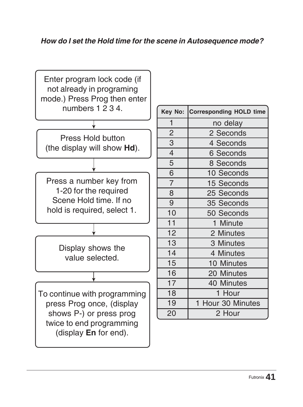### *How do I set the Hold time for the scene in Autosequence mode?*



| Key No:        | <b>Corresponding HOLD time</b> |
|----------------|--------------------------------|
| 1              | no delay                       |
| $\overline{c}$ | 2 Seconds                      |
| 3              | 4 Seconds                      |
| $\overline{4}$ | 6 Seconds                      |
| 5              | 8 Seconds                      |
| 6              | 10 Seconds                     |
| $\overline{7}$ | 15 Seconds                     |
| 8              | 25 Seconds                     |
| 9              | 35 Seconds                     |
| 10             | 50 Seconds                     |
| 11             | 1 Minute                       |
| 12             | 2 Minutes                      |
| 13             | 3 Minutes                      |
| 14             | 4 Minutes                      |
| 15             | 10 Minutes                     |
| 16             | 20 Minutes                     |
| 17             | 40 Minutes                     |
| 18             | 1 Hour                         |
| 19             | Hour 30 Minutes                |
| 20             | 2 Hour                         |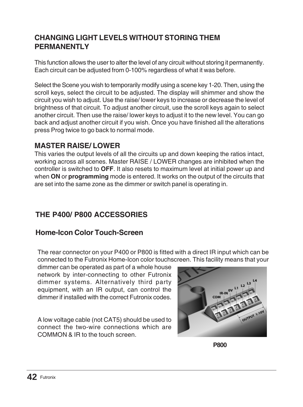### **CHANGING LIGHT LEVELS WITHOUT STORING THEM PERMANENTLY**

This function allows the user to alter the level of any circuit without storing it permanently. Each circuit can be adjusted from 0-100% regardless of what it was before.

Select the Scene you wish to temporarily modify using a scene key 1-20. Then, using the scroll keys, select the circuit to be adjusted. The display will shimmer and show the circuit you wish to adjust. Use the raise/ lower keys to increase or decrease the level of brightness of that circuit. To adjust another circuit, use the scroll keys again to select another circuit. Then use the raise/ lower keys to adjust it to the new level. You can go back and adjust another circuit if you wish. Once you have finished all the alterations press Prog twice to go back to normal mode.

### **MASTER RAISE/ LOWER**

This varies the output levels of all the circuits up and down keeping the ratios intact, working across all scenes. Master RAISE / LOWER changes are inhibited when the controller is switched to **OFF**. It also resets to maximum level at initial power up and when **ON** or **programming** mode is entered. It works on the output of the circuits that are set into the same zone as the dimmer or switch panel is operating in.

## **THE P400/ P800 ACCESSORIES**

### **Home-Icon Color Touch-Screen**

The rear connector on your P400 or P800 is fitted with a direct IR input which can be connected to the Futronix Home-Icon color touchscreen. This facility means that your

dimmer can be operated as part of a whole house network by inter-connecting to other Futronix dimmer systems. Alternatively third party equipment, with an IR output, can control the dimmer if installed with the correct Futronix codes.

A low voltage cable (not CAT5) should be used to connect the two-wire connections which are COMMON & IR to the touch screen.



**P800**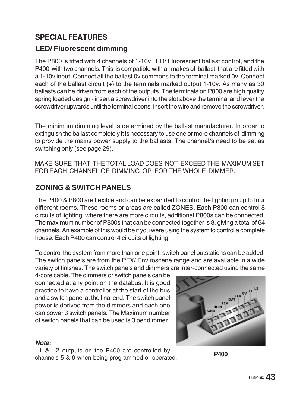### **SPECIAL FEATURES**

### **LED/ Fluorescent dimming**

The P800 is fitted with 4 channels of 1-10v LED/ Fluorescent ballast control, and the P400 with two channels. This is compatible with all makes of ballast that are fitted with a 1-10v input. Connect all the ballast 0v commons to the terminal marked 0v. Connect each of the ballast circuit (+) to the terminals marked output 1-10v. As many as 30 ballasts can be driven from each of the outputs. The terminals on P800 are high quality spring loaded design - insert a screwdriver into the slot above the terminal and lever the screwdriver upwards until the terminal opens, insert the wire and remove the screwdriver.

The minimum dimming level is determined by the ballast manufacturer. In order to extinguish the ballast completely it is necessary to use one or more channels of dimming to provide the mains power supply to the ballasts. The channel/s need to be set as switching only (see page 29).

MAKE SURE THAT THE TOTAL LOAD DOES NOT EXCEED THE MAXIMUM SET FOR EACH CHANNEL OF DIMMING OR FOR THE WHOLE DIMMER.

### **ZONING & SWITCH PANELS**

The P400 & P800 are flexible and can be expanded to control the lighting in up to four different rooms. These rooms or areas are called ZONES. Each P800 can control 8 circuits of lighting; where there are more circuits, additional P800s can be connected. The maximum number of P800s that can be connected together is 8, giving a total of 64 channels. An example of this would be if you were using the system to control a complete house. Each P400 can control 4 circuits of lighting.

To control the system from more than one point, switch panel outstations can be added. The switch panels are from the PFX/ Enviroscene range and are available in a wide variety of finishes. The switch panels and dimmers are inter-connected using the same

4-core cable. The dimmers or switch panels can be connected at any point on the databus. It is good practice to have a controller at the start of the bus and a switch panel at the final end. The switch panel power is derived from the dimmers and each one can power 3 switch panels. The Maximum number of switch panels that can be used is 3 per dimmer.

#### *Note:*

L1 & L2 outputs on the P400 are controlled by channels 5 & 6 when being programmed or operated.

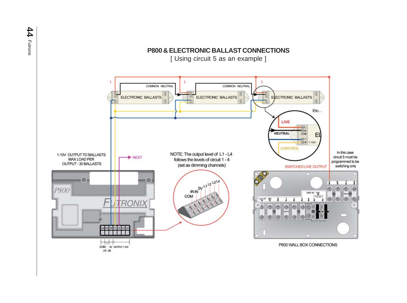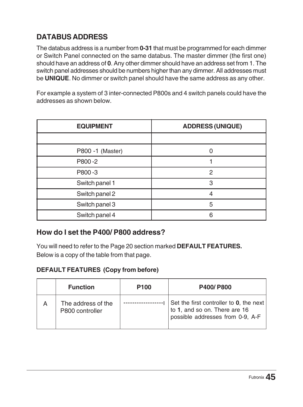## **DATABUS ADDRESS**

The databus address is a number from **0-31** that must be programmed for each dimmer or Switch Panel connected on the same databus. The master dimmer (the first one) should have an address of **0**. Any other dimmer should have an address set from 1. The switch panel addresses should be numbers higher than any dimmer. All addresses must be **UNIQUE**. No dimmer or switch panel should have the same address as any other.

For example a system of 3 inter-connected P800s and 4 switch panels could have the addresses as shown below.

| <b>EQUIPMENT</b> | <b>ADDRESS (UNIQUE)</b> |
|------------------|-------------------------|
|                  |                         |
| P800 -1 (Master) |                         |
| P800-2           |                         |
| P800-3           | 2                       |
| Switch panel 1   | 3                       |
| Switch panel 2   | Δ                       |
| Switch panel 3   | 5                       |
| Switch panel 4   | 6                       |

#### **How do I set the P400/ P800 address?**

You will need to refer to the Page 20 section marked **DEFAULT FEATURES.** Below is a copy of the table from that page.

#### **DEFAULT FEATURES (Copy from before)**

|   | <b>Function</b>                       | P <sub>100</sub> | <b>P400/P800</b>                                                                                             |
|---|---------------------------------------|------------------|--------------------------------------------------------------------------------------------------------------|
| А | The address of the<br>P800 controller |                  | Set the first controller to 0, the next<br>to 1, and so on. There are 16<br>possible addresses from 0-9, A-F |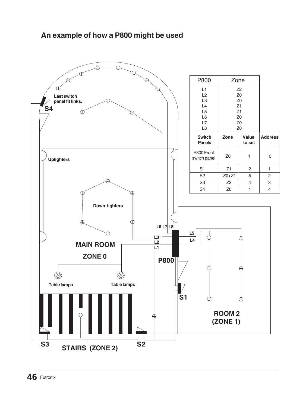### **An example of how a P800 might be used**

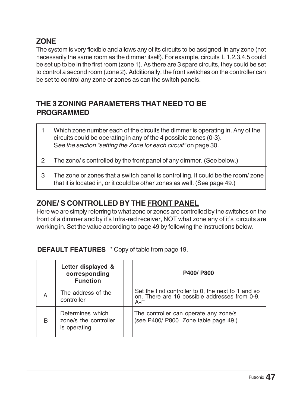### **ZONE**

The system is very flexible and allows any of its circuits to be assigned in any zone (not necessarily the same room as the dimmer itself). For example, circuits L 1,2,3,4,5 could be set up to be in the first room (zone 1). As there are 3 spare circuits, they could be set to control a second room (zone 2). Additionally, the front switches on the controller can be set to control any zone or zones as can the switch panels.

### **THE 3 ZONING PARAMETERS THAT NEED TO BE PROGRAMMED**

|   | Which zone number each of the circuits the dimmer is operating in. Any of the<br>circuits could be operating in any of the 4 possible zones (0-3).<br>See the section "setting the Zone for each circuit" on page 30. |
|---|-----------------------------------------------------------------------------------------------------------------------------------------------------------------------------------------------------------------------|
| 2 | The zone/s controlled by the front panel of any dimmer. (See below.)                                                                                                                                                  |
| 3 | The zone or zones that a switch panel is controlling. It could be the room/zone<br>that it is located in, or it could be other zones as well. (See page 49.)                                                          |

## **ZONE/ S CONTROLLED BY THE FRONT PANEL**

Here we are simply referring to what zone or zones are controlled by the switches on the front of a dimmer and by it's Infra-red receiver, NOT what zone any of it's circuits are working in. Set the value according to page 49 by following the instructions below.

#### **DEFAULT FEATURES** \* Copy of table from page 19.

|   | Letter displayed &<br>corresponding<br><b>Function</b>    | P400/P800                                                                                                   |
|---|-----------------------------------------------------------|-------------------------------------------------------------------------------------------------------------|
| A | The address of the<br>controller                          | Set the first controller to 0, the next to 1 and so<br>on. There are 16 possible addresses from 0-9,<br>A-F |
| B | Determines which<br>zone/s the controller<br>is operating | The controller can operate any zone/s<br>(see P400/ P800 Zone table page 49.)                               |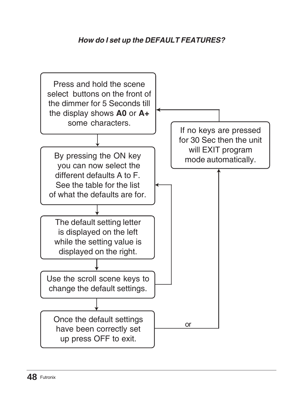### *How do I set up the DEFAULT FEATURES?*

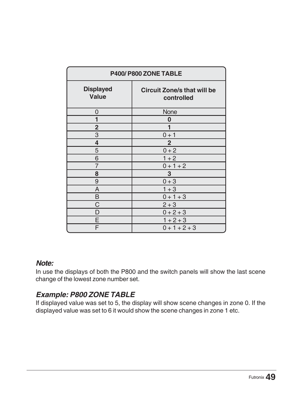| P400/P800 ZONE TABLE      |                                                  |  |
|---------------------------|--------------------------------------------------|--|
| <b>Displayed</b><br>Value | <b>Circuit Zone/s that will be</b><br>controlled |  |
| 0                         | None                                             |  |
| 1                         | 0                                                |  |
| $\overline{c}$            |                                                  |  |
| 3                         | $0 + 1$                                          |  |
| 4                         | $\overline{2}$                                   |  |
| 5                         | $0 + 2$                                          |  |
| 6                         | $1 + 2$                                          |  |
| $\overline{7}$            | $0 + 1 + 2$                                      |  |
| 8                         | 3                                                |  |
| 9                         | $0 + 3$                                          |  |
| A                         | $1 + 3$                                          |  |
| B                         | $0 + 1 + 3$                                      |  |
| C                         | $2 + 3$                                          |  |
| D                         | $0 + 2 + 3$                                      |  |
| E                         | $1 + 2 + 3$                                      |  |
| F                         | $0 + 1 + 2 + 3$                                  |  |

#### *Note:*

In use the displays of both the P800 and the switch panels will show the last scene change of the lowest zone number set.

### *Example: P800 ZONE TABLE*

If displayed value was set to 5, the display will show scene changes in zone 0. If the displayed value was set to 6 it would show the scene changes in zone 1 etc.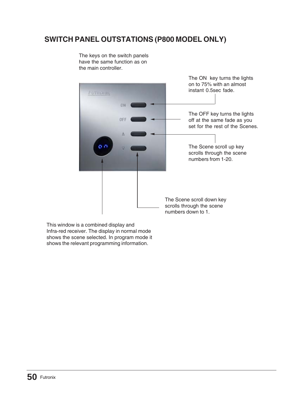### **SWITCH PANEL OUTSTATIONS (P800 MODEL ONLY)**

the main controller. The ON key turns the lights on to 75% with an almost instant 0.5sec fade. **CHI** The OFF key turns the lights OFF off at the same fade as you set for the rest of the Scenes. o r The Scene scroll up key scrolls through the scene numbers from 1-20. The Scene scroll down key scrolls through the scene numbers down to 1.

The keys on the switch panels have the same function as on

This window is a combined display and Infra-red receiver. The display in normal mode shows the scene selected. In program mode it shows the relevant programming information.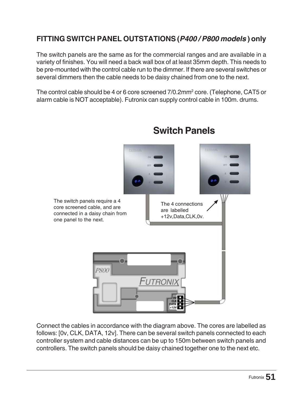### **FITTING SWITCH PANEL OUTSTATIONS(***P400 / P800 models* **) only**

The switch panels are the same as for the commercial ranges and are available in a variety of finishes. You will need a back wall box of at least 35mm depth. This needs to be pre-mounted with the control cable run to the dimmer. If there are several switches or several dimmers then the cable needs to be daisy chained from one to the next.

The control cable should be 4 or 6 core screened 7/0.2mm $^{\rm 2}$  core. (Telephone, CAT5 or alarm cable is NOT acceptable). Futronix can supply control cable in 100m. drums.



# **Switch Panels**

Connect the cables in accordance with the diagram above. The cores are labelled as follows: [0v, CLK, DATA, 12v]. There can be several switch panels connected to each controller system and cable distances can be up to 150m between switch panels and controllers. The switch panels should be daisy chained together one to the next etc.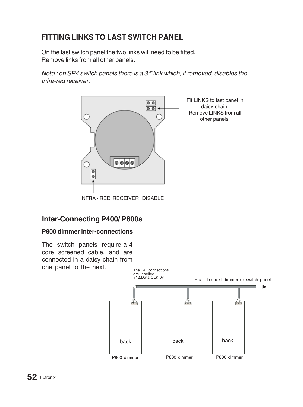## **FITTING LINKS TO LAST SWITCH PANEL**

On the last switch panel the two links will need to be fitted. Remove links from all other panels.

*Note : on SP4 switch panels there is a 3 rd link which, if removed, disables the Infra-red receiver.*



### **Inter-Connecting P400/ P800s**

#### **P800 dimmer inter-connections**

The switch panels require a 4 core screened cable, and are connected in a daisy chain from one panel to the next.

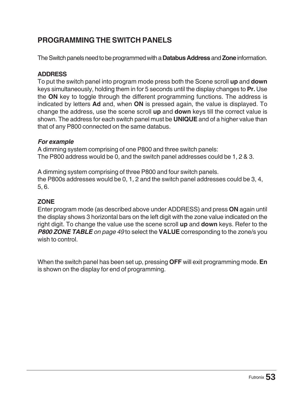## **PROGRAMMING THE SWITCH PANELS**

The Switch panels need to be programmed with a **Databus Address** and **Zone** information.

#### **ADDRESS**

To put the switch panel into program mode press both the Scene scroll **up** and **down** keys simultaneously, holding them in for 5 seconds until the display changes to **Pr.** Use the **ON** key to toggle through the different programming functions. The address is indicated by letters **Ad** and, when **ON** is pressed again, the value is displayed. To change the address, use the scene scroll **up** and **down** keys till the correct value is shown. The address for each switch panel must be **UNIQUE** and of a higher value than that of any P800 connected on the same databus.

#### *For example*

A dimming system comprising of one P800 and three switch panels: The P800 address would be 0, and the switch panel addresses could be 1, 2 & 3.

A dimming system comprising of three P800 and four switch panels. the P800s addresses would be 0, 1, 2 and the switch panel addresses could be 3, 4, 5, 6.

#### **ZONE**

Enter program mode (as described above under ADDRESS) and press **ON** again until the display shows 3 horizontal bars on the left digit with the zone value indicated on the right digit. To change the value use the scene scroll **up** and **down** keys. Refer to the *P800 ZONE TABLE on page 49* to select the **VALUE** corresponding to the zone/s you wish to control.

When the switch panel has been set up, pressing **OFF** will exit programming mode. **En** is shown on the display for end of programming.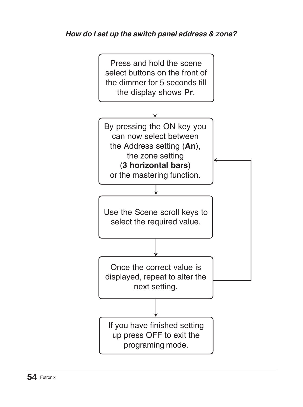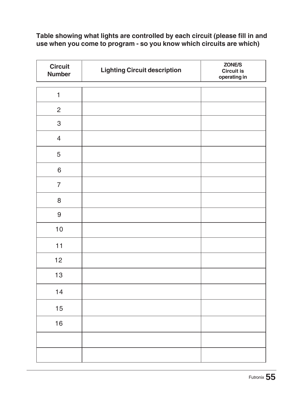#### **Table showing what lights are controlled by each circuit (please fill in and use when you come to program - so you know which circuits are which)**

| <b>Circuit</b><br><b>Number</b> | <b>Lighting Circuit description</b> | ZONE/S<br>Circuit is<br>operating in |
|---------------------------------|-------------------------------------|--------------------------------------|
| $\mathbf{1}$                    |                                     |                                      |
| $\mathbf{c}$                    |                                     |                                      |
| 3                               |                                     |                                      |
| $\overline{4}$                  |                                     |                                      |
| 5                               |                                     |                                      |
| 6                               |                                     |                                      |
| $\overline{7}$                  |                                     |                                      |
| 8                               |                                     |                                      |
| 9                               |                                     |                                      |
| 10                              |                                     |                                      |
| 11                              |                                     |                                      |
| 12                              |                                     |                                      |
| 13                              |                                     |                                      |
| 14                              |                                     |                                      |
| 15                              |                                     |                                      |
| 16                              |                                     |                                      |
|                                 |                                     |                                      |
|                                 |                                     |                                      |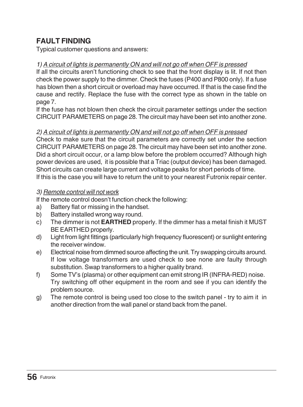### **FAULT FINDING**

Typical customer questions and answers:

#### *1) A circuit of lights is permanently ON and will not go off when OFF is pressed*

If all the circuits aren't functioning check to see that the front display is lit. If not then check the power supply to the dimmer. Check the fuses (P400 and P800 only). If a fuse has blown then a short circuit or overload may have occurred. If that is the case find the cause and rectify. Replace the fuse with the correct type as shown in the table on page 7.

If the fuse has not blown then check the circuit parameter settings under the section CIRCUIT PARAMETERS on page 28. The circuit may have been set into another zone.

#### *2) A circuit of lights is permanently ON and will not go off when OFF is pressed*

Check to make sure that the circuit parameters are correctly set under the section CIRCUIT PARAMETERS on page 28. The circuit may have been set into another zone. Did a short circuit occur, or a lamp blow before the problem occurred? Although high power devices are used, it is possible that a Triac (output device) has been damaged. Short circuits can create large current and voltage peaks for short periods of time. If this is the case you will have to return the unit to your nearest Futronix repair center.

#### *3) Remote control will not work*

If the remote control doesn't function check the following:

- a) Battery flat or missing in the handset.
- b) Battery installed wrong way round.
- c) The dimmer is not **EARTHED** properly. If the dimmer has a metal finish it MUST BE EARTHED properly.
- d) Light from light fittings (particularly high frequency fluorescent) or sunlight entering the receiver window.
- e) Electrical noise from dimmed source affecting the unit. Try swapping circuits around. If low voltage transformers are used check to see none are faulty through substitution. Swap transformers to a higher quality brand.
- f) Some TV's (plasma) or other equipment can emit strong IR (INFRA-RED) noise. Try switching off other equipment in the room and see if you can identify the problem source.
- g) The remote control is being used too close to the switch panel try to aim it in another direction from the wall panel or stand back from the panel.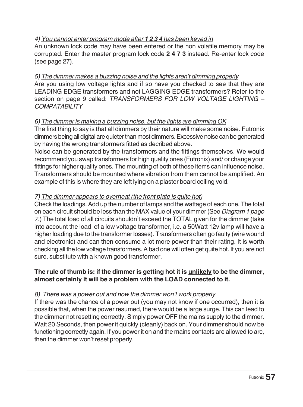#### *4) You cannot enter program mode after 1 2 3 4 has been keyed in*

An unknown lock code may have been entered or the non volatile memory may be corrupted. Enter the master program lock code **2 4 7 3** instead. Re-enter lock code (see page 27).

#### *5) The dimmer makes a buzzing noise and the lights aren't dimming properly*

Are you using low voltage lights and if so have you checked to see that they are LEADING EDGE transformers and not LAGGING EDGE transformers? Refer to the section on page 9 called: *TRANSFORMERS FOR LOW VOLTAGE LIGHTING – COMPATABILITY*

#### *6) The dimmer is making a buzzing noise, but the lights are dimming OK*

The first thing to say is that all dimmers by their nature will make some noise. Futronix dimmers being all digital are quieter than most dimmers. Excessive noise can be generated by having the wrong transformers fitted as decribed above.

Noise can be generated by the transformers and the fittings themselves. We would recommend you swap transformers for high quality ones (Futronix) and/ or change your fittings for higher quality ones. The mounting of both of these items can influence noise. Transformers should be mounted where vibration from them cannot be amplified. An example of this is where they are left lying on a plaster board ceiling void.

#### *7) The dimmer appears to overheat (the front plate is quite hot)*

Check the loadings. Add up the number of lamps and the wattage of each one. The total on each circuit should be less than the MAX value of your dimmer (See *Diagram 1 page 7*.) The total load of all circuits shouldn't exceed the TOTAL given for the dimmer (take into account the load of a low voltage transformer, i.e. a 50Watt 12v lamp will have a higher loading due to the transformer losses). Transformers often go faulty (wire wound and electronic) and can then consume a lot more power than their rating. It is worth checking all the low voltage transformers. A bad one will often get quite hot. If you are not sure, substitute with a known good transformer.

#### **The rule of thumb is: if the dimmer is getting hot it is unlikely to be the dimmer, almost certainly it will be a problem with the LOAD connected to it.**

#### *8) There was a power out and now the dimmer won't work properly*

If there was the chance of a power out (you may not know if one occurred), then it is possible that, when the power resumed, there would be a large surge. This can lead to the dimmer not resetting correctly. Simply power OFF the mains supply to the dimmer. Wait 20 Seconds, then power it quickly (cleanly) back on. Your dimmer should now be functioning correctly again. If you power it on and the mains contacts are allowed to arc, then the dimmer won't reset properly.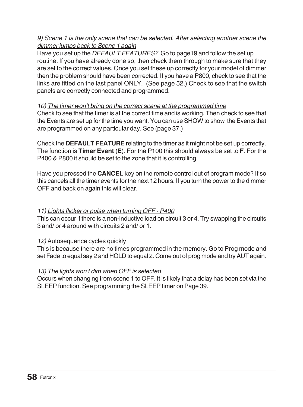#### *9) Scene 1 is the only scene that can be selected. After selecting another scene the dimmer jumps back to Scene 1 again*

Have you set up the *DEFAULT FEATURES?* Go to page19 and follow the set up routine. If you have already done so, then check them through to make sure that they are set to the correct values. Once you set these up correctly for your model of dimmer then the problem should have been corrected. If you have a P800, check to see that the links are fitted on the last panel ONLY. (See page 52.) Check to see that the switch panels are correctly connected and programmed.

#### *10) The timer won't bring on the correct scene at the programmed time*

Check to see that the timer is at the correct time and is working. Then check to see that the Events are set up for the time you want. You can use SHOW to show the Events that are programmed on any particular day. See (page 37.)

Check the **DEFAULT FEATURE** relating to the timer as it might not be set up correctly. The function is **Timer Event** (**E**). For the P100 this should always be set to **F**. For the P400 & P800 it should be set to the zone that it is controlling.

Have you pressed the **CANCEL** key on the remote control out of program mode? If so this cancels all the timer events for the next 12 hours. If you turn the power to the dimmer OFF and back on again this will clear.

#### *11) Lights flicker or pulse when turning OFF - P400*

This can occur if there is a non-inductive load on circuit 3 or 4. Try swapping the circuits 3 and/ or 4 around with circuits 2 and/ or 1.

#### *12)* Autosequence cycles quickly

This is because there are no times programmed in the memory. Go to Prog mode and set Fade to equal say 2 and HOLD to equal 2. Come out of prog mode and try AUT again.

#### *13) The lights won't dim when OFF is selected*

Occurs when changing from scene 1 to OFF. It is likely that a delay has been set via the SLEEP function. See programming the SLEEP timer on Page 39.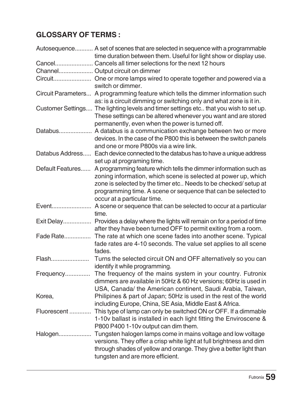## **GLOSSARY OF TERMS :**

|                  | Autosequence A set of scenes that are selected in sequence with a programmable<br>time duration between them. Useful for light show or display use.                                                                                                                                                  |
|------------------|------------------------------------------------------------------------------------------------------------------------------------------------------------------------------------------------------------------------------------------------------------------------------------------------------|
|                  | Cancel Cancels all timer selections for the next 12 hours                                                                                                                                                                                                                                            |
|                  | Channel Output circuit on dimmer                                                                                                                                                                                                                                                                     |
|                  | switch or dimmer.                                                                                                                                                                                                                                                                                    |
|                  | Circuit Parameters A programming feature which tells the dimmer information such<br>as: is a circuit dimming or switching only and what zone is it in.                                                                                                                                               |
|                  | Customer Settings The lighting levels and timer settings etc that you wish to set up.<br>These settings can be altered whenever you want and are stored<br>permanently, even when the power is turned off.                                                                                           |
|                  | Databus A databus is a communication exchange between two or more<br>devices. In the case of the P800 this is between the switch panels<br>and one or more P800s via a wire link.                                                                                                                    |
|                  | Databus Address Each device connected to the databus has to have a unique address<br>set up at programing time.                                                                                                                                                                                      |
| Default Features | A programming feature which tells the dimmer information such as<br>zoning information, which scene is selected at power up, which<br>zone is selected by the timer etc Needs to be checked/setup at<br>programming time. A scene or sequence that can be selected to<br>occur at a particular time. |
| Event            | A scene or sequence that can be selected to occur at a particular<br>time.                                                                                                                                                                                                                           |
|                  | Exit Delay Provides a delay where the lights will remain on for a period of time<br>after they have been turned OFF to permit exiting from a room.                                                                                                                                                   |
| Fade Rate        | The rate at which one scene fades into another scene. Typical<br>fade rates are 4-10 seconds. The value set applies to all scene<br>fades.                                                                                                                                                           |
| Flash            | Turns the selected circuit ON and OFF alternatively so you can<br>identify it while programming.                                                                                                                                                                                                     |
| Frequency        | The frequency of the mains system in your country. Futronix<br>dimmers are available in 50Hz & 60 Hz versions; 60Hz is used in<br>USA, Canada/ the American continent, Saudi Arabia, Taiwan,                                                                                                         |
| Korea,           | Philipines & part of Japan; 50Hz is used in the rest of the world<br>including Europe, China, SE Asia, Middle East & Africa.                                                                                                                                                                         |
| Fluorescent      | This type of lamp can only be switched ON or OFF. If a dimmable<br>1-10v ballast is installed in each light fitting the Enviroscene &<br>P800 P400 1-10v output can dim them.                                                                                                                        |
| Halogen          | Tungsten halogen lamps come in mains voltage and low voltage<br>versions. They offer a crisp white light at full brightness and dim<br>through shades of yellow and orange. They give a better light than<br>tungsten and are more efficient.                                                        |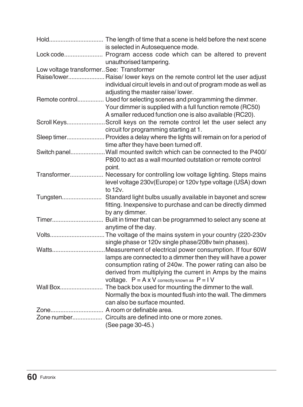|                                         | is selected in Autosequence mode.                                                                                                                                                                                                                                                                              |
|-----------------------------------------|----------------------------------------------------------------------------------------------------------------------------------------------------------------------------------------------------------------------------------------------------------------------------------------------------------------|
|                                         | unauthorised tampering.                                                                                                                                                                                                                                                                                        |
| Low voltage transformerSee: Transformer |                                                                                                                                                                                                                                                                                                                |
|                                         | Raise/lower Raise/ lower keys on the remote control let the user adjust<br>individual circuit levels in and out of program mode as well as<br>adjusting the master raise/lower.                                                                                                                                |
|                                         | Remote control Used for selecting scenes and programming the dimmer.<br>Your dimmer is supplied with a full function remote (RC50)<br>A smaller reduced function one is also available (RC20).                                                                                                                 |
|                                         | Scroll KeysScroll keys on the remote control let the user select any<br>circuit for programming starting at 1.                                                                                                                                                                                                 |
|                                         | Sleep timer Provides a delay where the lights will remain on for a period of<br>time after they have been turned off.                                                                                                                                                                                          |
|                                         | Switch panelWall mounted switch which can be connected to the P400/<br>P800 to act as a wall mounted outstation or remote control<br>point.                                                                                                                                                                    |
|                                         | Transformer Necessary for controlling low voltage lighting. Steps mains<br>level voltage 230v(Europe) or 120v type voltage (USA) down<br>to 12v.                                                                                                                                                               |
|                                         | fitting. Inexpensive to purchase and can be directly dimmed<br>by any dimmer.                                                                                                                                                                                                                                  |
|                                         | anytime of the day.                                                                                                                                                                                                                                                                                            |
|                                         | single phase or 120v single phase/208v twin phases).                                                                                                                                                                                                                                                           |
|                                         | WattsMeasurement of electrical power consumption. If four 60W<br>lamps are connected to a dimmer then they will have a power<br>consumption rating of 240w. The power rating can also be<br>derived from multiplying the current in Amps by the mains<br>voltage. $P = A \times V$ correctly known as $P = IV$ |
|                                         | Normally the box is mounted flush into the wall. The dimmers<br>can also be surface mounted.                                                                                                                                                                                                                   |
|                                         | Zone A room or definable area.                                                                                                                                                                                                                                                                                 |
|                                         | (See page 30-45.)                                                                                                                                                                                                                                                                                              |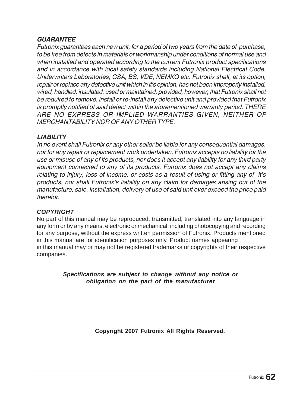#### *GUARANTEE*

*Futronix guarantees each new unit, for a period of two years from the date of purchase, to be free from defects in materials or workmanship under conditions of normal use and when installed and operated according to the current Futronix product specifications and in accordance with local safety standards including National Electrical Code, Underwriters Laboratories, CSA, BS, VDE, NEMKO etc. Futronix shall, at its option, repair or replace any defective unit which in it's opinion, has not been improperly installed, wired, handled, insulated, used or maintained, provided, however, that Futronix shall not be required to remove, install or re-install any defective unit and provided that Futronix is promptly notified of said defect within the aforementioned warranty period. THERE ARE NO EXPRESS OR IMPLIED WARRANTIES GIVEN, NEITHER OF MERCHANTABILITY NOR OF ANY OTHER TYPE.*

#### *LIABILITY*

*In no event shall Futronix or any other seller be liable for any consequential damages, nor for any repair or replacement work undertaken. Futronix accepts no liability for the use or misuse of any of its products, nor does it accept any liability for any third party equipment connected to any of its products. Futronix does not accept any claims relating to injury, loss of income, or costs as a result of using or fitting any of it's products, nor shall Futronix's liability on any claim for damages arising out of the manufacture, sale, installation, delivery of use of said unit ever exceed the price paid therefor.*

#### *COPYRIGHT*

No part of this manual may be reproduced, transmitted, translated into any language in any form or by any means, electronic or mechanical, including photocopying and recording for any purpose, without the express written permission of Futronix. Products mentioned in this manual are for identification purposes only. Product names appearing in this manual may or may not be registered trademarks or copyrights of their respective companies.

> *Specifications are subject to change without any notice or obligation on the part of the manufacturer*

> > **Copyright 2007 Futronix All Rights Reserved.**